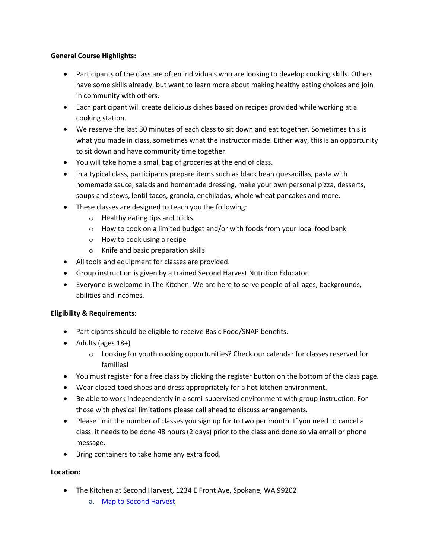### **General Course Highlights:**

- Participants of the class are often individuals who are looking to develop cooking skills. Others have some skills already, but want to learn more about making healthy eating choices and join in community with others.
- Each participant will create delicious dishes based on recipes provided while working at a cooking station.
- We reserve the last 30 minutes of each class to sit down and eat together. Sometimes this is what you made in class, sometimes what the instructor made. Either way, this is an opportunity to sit down and have community time together.
- You will take home a small bag of groceries at the end of class.
- In a typical class, participants prepare items such as black bean quesadillas, pasta with homemade sauce, salads and homemade dressing, make your own personal pizza, desserts, soups and stews, lentil tacos, granola, enchiladas, whole wheat pancakes and more.
- These classes are designed to teach you the following:
	- o Healthy eating tips and tricks
	- o How to cook on a limited budget and/or with foods from your local food bank
	- o How to cook using a recipe
	- o Knife and basic preparation skills
- All tools and equipment for classes are provided.
- Group instruction is given by a trained Second Harvest Nutrition Educator.
- Everyone is welcome in The Kitchen. We are here to serve people of all ages, backgrounds, abilities and incomes.

# **Eligibility & Requirements:**

- Participants should be eligible to receive Basic Food/SNAP benefits.
- Adults (ages 18+)
	- o Looking for youth cooking opportunities? Check our calendar for classes reserved for families!
- You must register for a free class by clicking the register button on the bottom of the class page.
- Wear closed-toed shoes and dress appropriately for a hot kitchen environment.
- Be able to work independently in a semi-supervised environment with group instruction. For those with physical limitations please call ahead to discuss arrangements.
- Please limit the number of classes you sign up for to two per month. If you need to cancel a class, it needs to be done 48 hours (2 days) prior to the class and done so via email or phone message.
- Bring containers to take home any extra food.

# **Location:**

- The Kitchen at Second Harvest, 1234 E Front Ave, Spokane, WA 99202
	- a. [Map to Second Harvest](https://www.google.com/maps/place/Second+Harvest/@47.659949,-117.391095,15z/data=!4m5!3m4!1s0x0:0x673637728f6a5e29!8m2!3d47.659949!4d-117.391095)